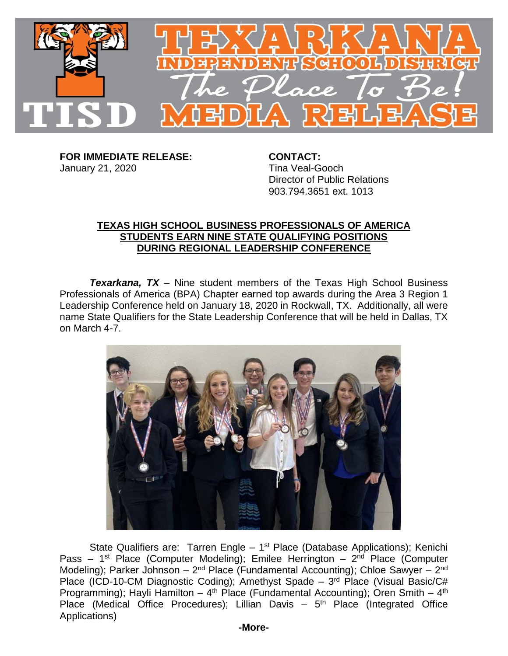

**FOR IMMEDIATE RELEASE: CONTACT:** January 21, 2020 **Tina Veal-Gooch** 

Director of Public Relations 903.794.3651 ext. 1013

## **TEXAS HIGH SCHOOL BUSINESS PROFESSIONALS OF AMERICA STUDENTS EARN NINE STATE QUALIFYING POSITIONS DURING REGIONAL LEADERSHIP CONFERENCE**

*Texarkana, TX* – Nine student members of the Texas High School Business Professionals of America (BPA) Chapter earned top awards during the Area 3 Region 1 Leadership Conference held on January 18, 2020 in Rockwall, TX. Additionally, all were name State Qualifiers for the State Leadership Conference that will be held in Dallas, TX on March 4-7.



State Qualifiers are: Tarren Engle - 1<sup>st</sup> Place (Database Applications); Kenichi Pass – 1<sup>st</sup> Place (Computer Modeling); Emilee Herrington – 2<sup>nd</sup> Place (Computer Modeling); Parker Johnson – 2<sup>nd</sup> Place (Fundamental Accounting); Chloe Sawyer – 2<sup>nd</sup> Place (ICD-10-CM Diagnostic Coding); Amethyst Spade - 3<sup>rd</sup> Place (Visual Basic/C# Programming); Hayli Hamilton – 4<sup>th</sup> Place (Fundamental Accounting); Oren Smith – 4<sup>th</sup> Place (Medical Office Procedures); Lillian Davis - 5<sup>th</sup> Place (Integrated Office Applications)